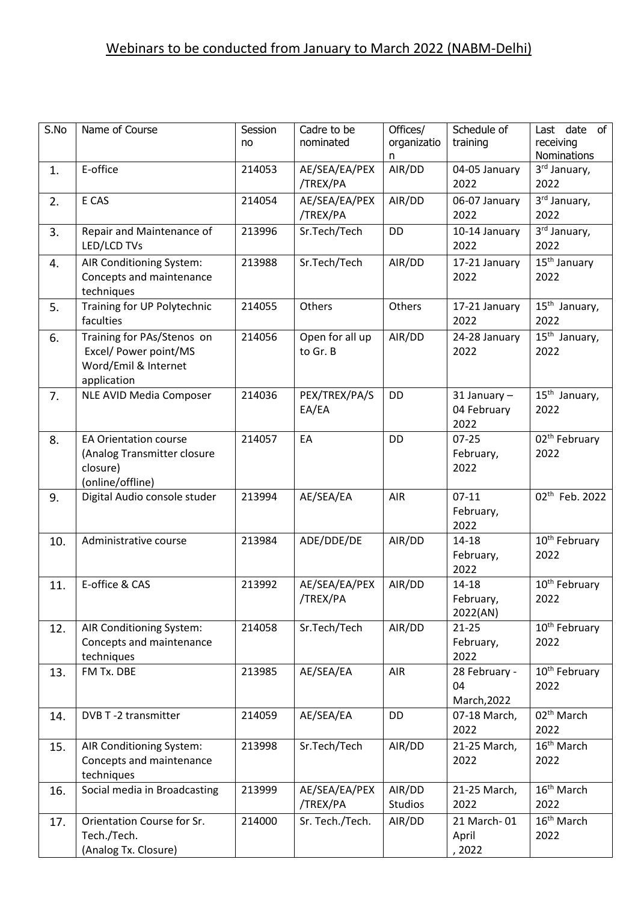## Webinars to be conducted from January to March 2022 (NABM-Delhi)

| S.No | Name of Course                                                                              | Session<br>no | Cadre to be<br>nominated    | Offices/<br>organizatio<br>n | Schedule of<br>training             | Last date of<br>receiving<br>Nominations |
|------|---------------------------------------------------------------------------------------------|---------------|-----------------------------|------------------------------|-------------------------------------|------------------------------------------|
| 1.   | E-office                                                                                    | 214053        | AE/SEA/EA/PEX<br>/TREX/PA   | AIR/DD                       | 04-05 January<br>2022               | 3rd January,<br>2022                     |
| 2.   | E CAS                                                                                       | 214054        | AE/SEA/EA/PEX<br>/TREX/PA   | AIR/DD                       | 06-07 January<br>2022               | 3rd January,<br>2022                     |
| 3.   | Repair and Maintenance of<br>LED/LCD TVs                                                    | 213996        | Sr.Tech/Tech                | DD                           | 10-14 January<br>2022               | 3rd January,<br>2022                     |
| 4.   | AIR Conditioning System:<br>Concepts and maintenance<br>techniques                          | 213988        | Sr.Tech/Tech                | AIR/DD                       | 17-21 January<br>2022               | 15 <sup>th</sup> January<br>2022         |
| 5.   | Training for UP Polytechnic<br>faculties                                                    | 214055        | Others                      | Others                       | 17-21 January<br>2022               | 15 <sup>th</sup> January,<br>2022        |
| 6.   | Training for PAs/Stenos on<br>Excel/ Power point/MS<br>Word/Emil & Internet<br>application  | 214056        | Open for all up<br>to Gr. B | AIR/DD                       | 24-28 January<br>2022               | $15th$ January,<br>2022                  |
| 7.   | NLE AVID Media Composer                                                                     | 214036        | PEX/TREX/PA/S<br>EA/EA      | DD                           | 31 January -<br>04 February<br>2022 | $15th$ January,<br>2022                  |
| 8.   | <b>EA Orientation course</b><br>(Analog Transmitter closure<br>closure)<br>(online/offline) | 214057        | EA                          | <b>DD</b>                    | $07 - 25$<br>February,<br>2022      | 02 <sup>th</sup> February<br>2022        |
| 9.   | Digital Audio console studer                                                                | 213994        | AE/SEA/EA                   | AIR                          | $07-11$<br>February,<br>2022        | 02 <sup>th</sup> Feb. 2022               |
| 10.  | Administrative course                                                                       | 213984        | ADE/DDE/DE                  | AIR/DD                       | $14 - 18$<br>February,<br>2022      | 10 <sup>th</sup> February<br>2022        |
| 11.  | E-office & CAS                                                                              | 213992        | AE/SEA/EA/PEX<br>/TREX/PA   | AIR/DD                       | 14-18<br>February,<br>2022(AN)      | 10 <sup>th</sup> February<br>2022        |
| 12.  | AIR Conditioning System:<br>Concepts and maintenance<br>techniques                          | 214058        | Sr.Tech/Tech                | AIR/DD                       | $21 - 25$<br>February,<br>2022      | 10 <sup>th</sup> February<br>2022        |
| 13.  | FM Tx. DBE                                                                                  | 213985        | AE/SEA/EA                   | AIR                          | 28 February -<br>04<br>March, 2022  | 10 <sup>th</sup> February<br>2022        |
| 14.  | DVB T-2 transmitter                                                                         | 214059        | AE/SEA/EA                   | DD                           | 07-18 March,<br>2022                | 02 <sup>th</sup> March<br>2022           |
| 15.  | AIR Conditioning System:<br>Concepts and maintenance<br>techniques                          | 213998        | Sr.Tech/Tech                | AIR/DD                       | 21-25 March,<br>2022                | 16 <sup>th</sup> March<br>2022           |
| 16.  | Social media in Broadcasting                                                                | 213999        | AE/SEA/EA/PEX<br>/TREX/PA   | AIR/DD<br>Studios            | 21-25 March,<br>2022                | 16 <sup>th</sup> March<br>2022           |
| 17.  | Orientation Course for Sr.<br>Tech./Tech.<br>(Analog Tx. Closure)                           | 214000        | Sr. Tech./Tech.             | AIR/DD                       | 21 March-01<br>April<br>, 2022      | 16 <sup>th</sup> March<br>2022           |